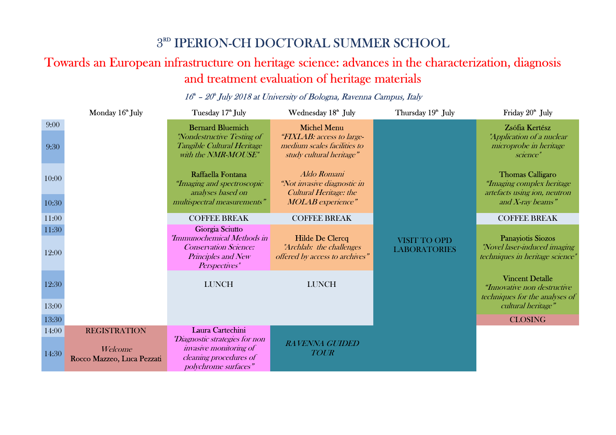## <sup>3RD</sup> IPERION-CH DOCTORAL SUMMER SCHOOL<br>Towards an European infrastructure on heritage science: advances in the characterization, diagnosis and treatment evaluation of heritage materials

## Monday 16<sup>th</sup> July Tuesday 17th July Wednesday 18th July Thursday 19th July Friday 20th July<br>-9:00 Bernard Bluemich Michel Menu Bernard Bluemich Michel Menu Bluemich Bernard Bluemich "Nondestructive Testing of Tangible Cultural Heritage with the **NMR-MOUSE**" Michel Menu "FIXLAB: access to largemedium scales facilities to study cultural heritage" VISIT TO OPD LABORATORIES Zsófia Kertész "Application of a nuclear microprobe in heritage science" 9:30 10:00 Raffaella Fontana "Imaging and spectroscopic analyses based on multispectral measurements"  $MOLAB$  experience"  $and X$ -ray beams" Aldo Romani "Not invasive diagnostic in Cultural Heritage: the MOLAB experience" Thomas Calligaro "Imaging complex heritage artefacts using ion, neutron 10:3011:00O COFFEE BREAK COFFEE BREAK COFFEE BREAK COFFEE BREAK COFFEE BREAK 11:30 Giorgia Sciutto "Immunochemical Methods in Conservation Science: Principles and New Perspectives" Hilde De Clercq "Archlab: the challenges 12:00 Principles and New offered by access to archives" **EXECUATIONIES** techniques in heritage science Panayiotis Siozos "Novel laser-induced imaging techniques in heritage science"12:300 LUNCH LUNCH Vincent Detalle "Innovative non destructive techniques for the analyses of 13:00 $\epsilon$  cultural heritage" and  $\epsilon$  and  $\epsilon$  cultural heritage  $\epsilon$ 13:30 $\overline{0}$  closing  $\overline{0}$  closing  $\overline{0}$ 14:00 REGISTRATION Laura Cartechini "Diagnostic strategies for non invasive monitoring of cleaning procedures of polychrome surfaces" RAVENNA GUIDED 14:30Welcome *invasive monitoring of*<br>Rocco Mazzeo, Luca Pezzati *cleaning procedures of TOUR*

## $16^{\text{th}}$  –  $20^{\text{th}}$  July 2018 at University of Bologna, Ravenna Campus, Italy